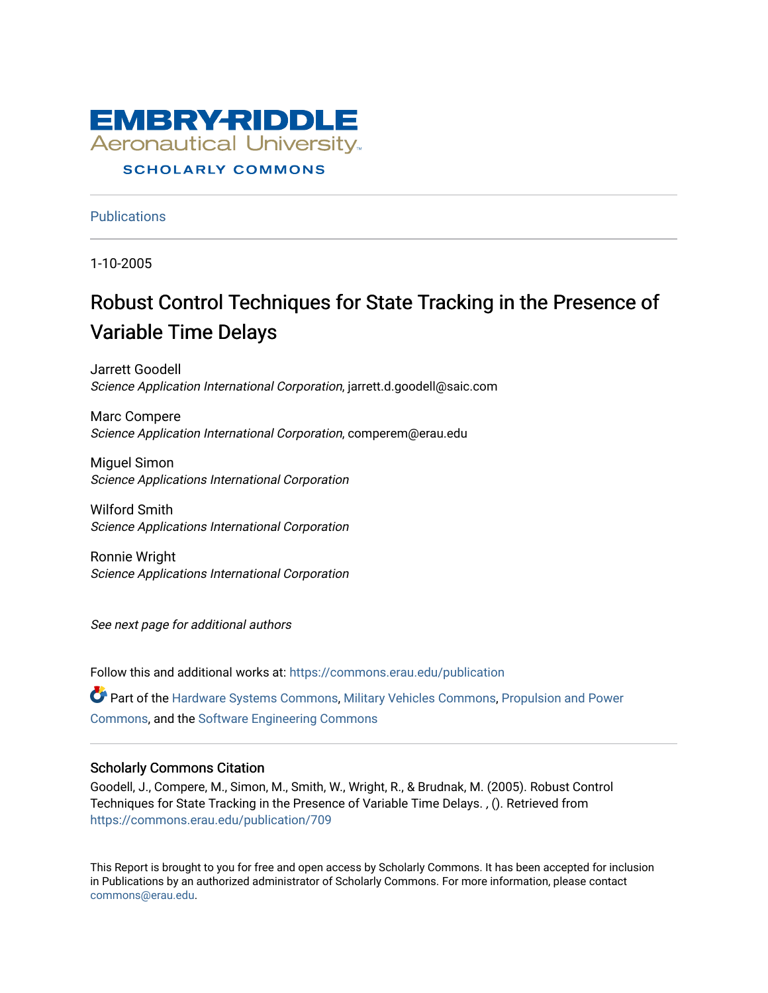

## **SCHOLARLY COMMONS**

**Publications** 

1-10-2005

# Robust Control Techniques for State Tracking in the Presence of Variable Time Delays

Jarrett Goodell Science Application International Corporation, jarrett.d.goodell@saic.com

Marc Compere Science Application International Corporation, comperem@erau.edu

Miguel Simon Science Applications International Corporation

Wilford Smith Science Applications International Corporation

Ronnie Wright Science Applications International Corporation

See next page for additional authors

Follow this and additional works at: [https://commons.erau.edu/publication](https://commons.erau.edu/publication?utm_source=commons.erau.edu%2Fpublication%2F709&utm_medium=PDF&utm_campaign=PDFCoverPages)  Part of the [Hardware Systems Commons,](http://network.bepress.com/hgg/discipline/263?utm_source=commons.erau.edu%2Fpublication%2F709&utm_medium=PDF&utm_campaign=PDFCoverPages) [Military Vehicles Commons,](http://network.bepress.com/hgg/discipline/1408?utm_source=commons.erau.edu%2Fpublication%2F709&utm_medium=PDF&utm_campaign=PDFCoverPages) [Propulsion and Power](http://network.bepress.com/hgg/discipline/225?utm_source=commons.erau.edu%2Fpublication%2F709&utm_medium=PDF&utm_campaign=PDFCoverPages) [Commons](http://network.bepress.com/hgg/discipline/225?utm_source=commons.erau.edu%2Fpublication%2F709&utm_medium=PDF&utm_campaign=PDFCoverPages), and the [Software Engineering Commons](http://network.bepress.com/hgg/discipline/150?utm_source=commons.erau.edu%2Fpublication%2F709&utm_medium=PDF&utm_campaign=PDFCoverPages)

#### Scholarly Commons Citation

Goodell, J., Compere, M., Simon, M., Smith, W., Wright, R., & Brudnak, M. (2005). Robust Control Techniques for State Tracking in the Presence of Variable Time Delays. , (). Retrieved from [https://commons.erau.edu/publication/709](https://commons.erau.edu/publication/709?utm_source=commons.erau.edu%2Fpublication%2F709&utm_medium=PDF&utm_campaign=PDFCoverPages) 

This Report is brought to you for free and open access by Scholarly Commons. It has been accepted for inclusion in Publications by an authorized administrator of Scholarly Commons. For more information, please contact [commons@erau.edu](mailto:commons@erau.edu).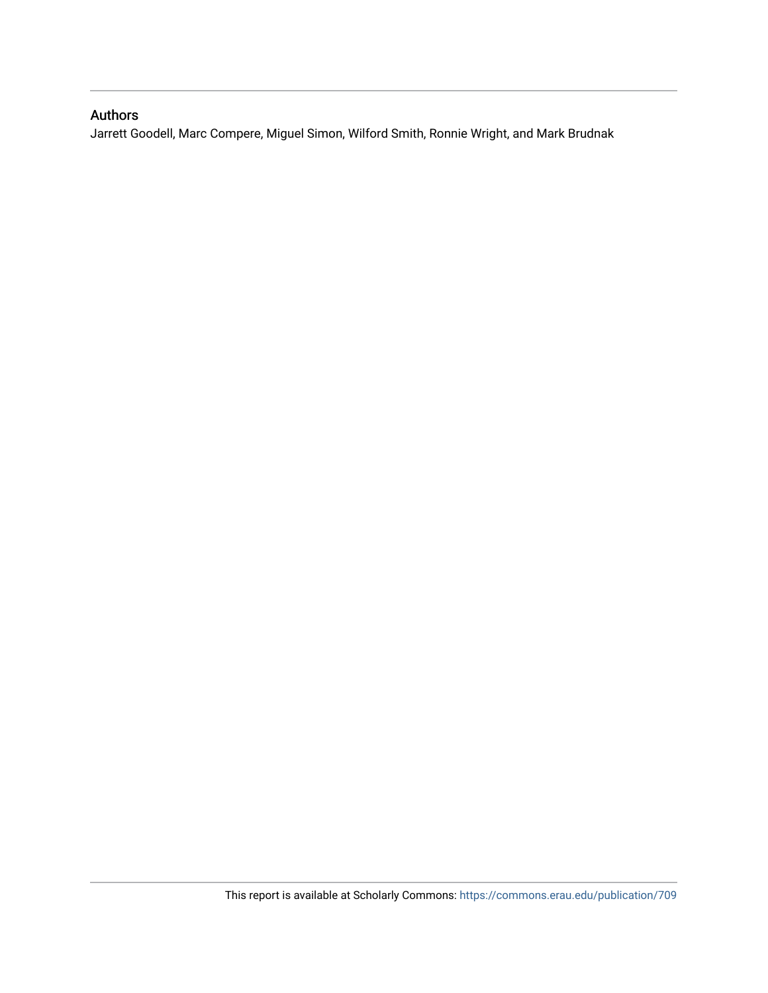## Authors

Jarrett Goodell, Marc Compere, Miguel Simon, Wilford Smith, Ronnie Wright, and Mark Brudnak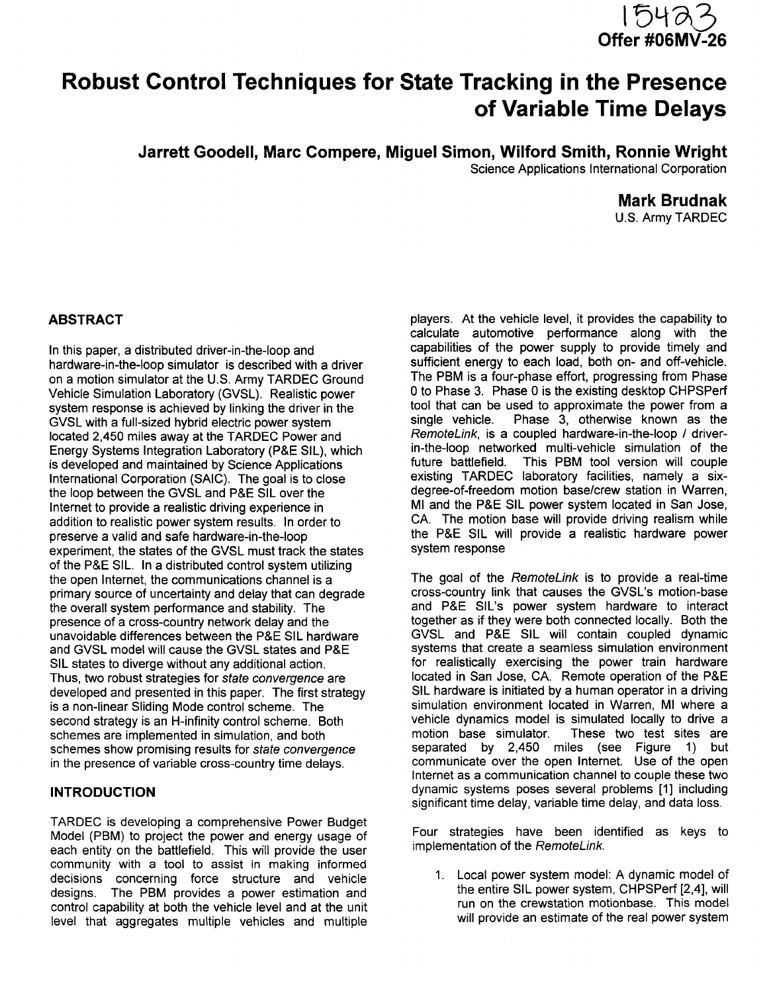

## **Robust Control Techniques for State Tracking in the Presence of Variable Time Delays**

**Jarrett Goodell, Marc Compere, Miguel Simon, Wilford Smith, Ronnie Wright** 

Science Applications International Corporation

## **Mark Brudnak**

U.S. Army TARDEC

#### **ABSTRACT**

In this paper, a distributed driver-in-the-loop and hardware-in-the-loop simulator is described with a driver on a motion simulator at the U.S. Army TARDEC Ground Vehicle Simulation Laboratory (GVSL). Realistic power system response is achieved by linking the driver in the GVSL with a full-sized hybrid electric power system located 2,450 miles away at the TARDEC Power and Energy Systems Integration Laboratory (P&E SIL), which is developed and maintained by Science Applications International Corporation (SAIC). The goal is to close the loop between the GVSL and P&E SIL over the Internet to provide a realistic driving experience in addition to realistic power system results. In order to preserve a valid and safe hardware-in-the-loop experiment, the states of the GVSL must track the states of the P&E SIL. In a distributed control system utilizing the open Internet, the communications channel is a primary source of uncertainty and delay that can degrade the overall system performance and stability. The presence of a cross-country network delay and the unavoidable differences between the P&E SIL hardware and GVSL model will cause the GVSL states and P&E SIL states to diverge without any additional action. Thus, two robust strategies for state convergence are developed and presented in this paper. The first strategy is a non-linear Sliding Mode control scheme. The second strategy is an H-infinity control scheme. Both schemes are implemented in simulation, and both schemes show promising results for state convergence in the presence of variable cross-country time delays.

#### **INTRODUCTION**

TARDEC is developing a comprehensive Power Budget Model (PBM) to project the power and energy usage of each entity on the battlefield. This will provide the user community with a tool to assist in making informed decisions concerning force structure and vehicle designs. The PBM provides a power estimation and control capability at both the vehicle level and at the unit level that aggregates multiple vehicles and multiple

players. At the vehicle level, it provides the capability to calculate automotive performance along with the capabilities of the power supply to provide timely and sufficient energy to each load, both on- and off-vehicle. The PBM is a four-phase effort, progressing from Phase 0 to Phase 3. Phase 0 is the existing desktop CHPSPerf tool that can be used to approximate the power from a single vehicle. Phase 3, otherwise known as the RemoteLink, is a coupled hardware-in-the-loop / driverin-the-loop networked multi-vehicle simulation of the future battlefield. This PBM tool version will couple existing TARDEC laboratory facilities, namely a sixdegree-of-freedom motion base/crew station in Warren, Ml and the P&E SIL power system located in San Jose, CA. The motion base will provide driving realism while the P&E SIL will provide a realistic hardware power system response

The goal of the RemoteLink is to provide a real-time cross-country link that causes the GVSL's motion-base and P&E SIL's power system hardware to interact together as if they were both connected locally. Both the GVSL and P&E SIL will contain coupled dynamic systems that create a seamless simulation environment for realistically exercising the power train hardware located in San Jose, CA. Remote operation of the P&E SIL hardware is initiated by a human operator in a driving simulation environment located in Warren, MI where a vehicle dynamics model is simulated locally to drive a These two test sites are separated by 2,450 miles (see Figure 1) but communicate over the open Internet. Use of the open Internet as a communication channel to couple these two dynamic systems poses several problems [1] including significant time delay, variable time delay, and data loss.

Four strategies have been identified as keys to implementation of the RemoteLink.

1. Local power system model: A dynamic model of the entire SIL power system, CHPSPerf [2,4], will run on the crewstation motionbase. This model will provide an estimate of the real power system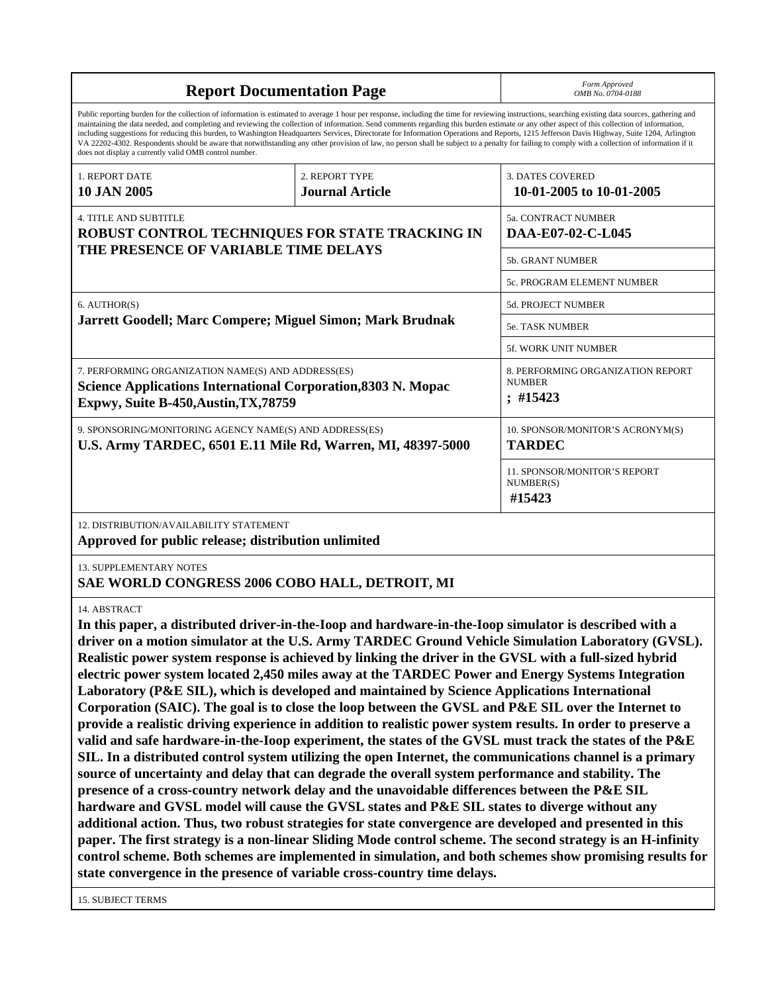| <b>Report Documentation Page</b>                                                                                                                                                                                                                                                                                                                                                                                                                                                                                                                                                                                                                                                                                                                                                                                                                                   | Form Approved<br>OMB No. 0704-0188       |                                                                            |  |  |  |
|--------------------------------------------------------------------------------------------------------------------------------------------------------------------------------------------------------------------------------------------------------------------------------------------------------------------------------------------------------------------------------------------------------------------------------------------------------------------------------------------------------------------------------------------------------------------------------------------------------------------------------------------------------------------------------------------------------------------------------------------------------------------------------------------------------------------------------------------------------------------|------------------------------------------|----------------------------------------------------------------------------|--|--|--|
| Public reporting burden for the collection of information is estimated to average 1 hour per response, including the time for reviewing instructions, searching existing data sources, gathering and<br>maintaining the data needed, and completing and reviewing the collection of information. Send comments regarding this burden estimate or any other aspect of this collection of information,<br>including suggestions for reducing this burden, to Washington Headquarters Services, Directorate for Information Operations and Reports, 1215 Jefferson Davis Highway, Suite 1204, Arlington<br>VA 22202-4302. Respondents should be aware that notwithstanding any other provision of law, no person shall be subject to a penalty for failing to comply with a collection of information if it<br>does not display a currently valid OMB control number. |                                          |                                                                            |  |  |  |
| 1. REPORT DATE<br><b>10 JAN 2005</b>                                                                                                                                                                                                                                                                                                                                                                                                                                                                                                                                                                                                                                                                                                                                                                                                                               | 2. REPORT TYPE<br><b>Journal Article</b> | 3. DATES COVERED<br>10-01-2005 to 10-01-2005                               |  |  |  |
| <b>4. TITLE AND SUBTITLE</b><br>ROBUST CONTROL TECHNIQUES FOR STATE TRACKING IN<br>THE PRESENCE OF VARIABLE TIME DELAYS                                                                                                                                                                                                                                                                                                                                                                                                                                                                                                                                                                                                                                                                                                                                            |                                          | 5a. CONTRACT NUMBER<br>DAA-E07-02-C-L045                                   |  |  |  |
|                                                                                                                                                                                                                                                                                                                                                                                                                                                                                                                                                                                                                                                                                                                                                                                                                                                                    |                                          | <b>5b. GRANT NUMBER</b>                                                    |  |  |  |
|                                                                                                                                                                                                                                                                                                                                                                                                                                                                                                                                                                                                                                                                                                                                                                                                                                                                    |                                          | 5c. PROGRAM ELEMENT NUMBER                                                 |  |  |  |
| 6. AUTHOR(S)<br><b>Jarrett Goodell; Marc Compere; Miguel Simon; Mark Brudnak</b>                                                                                                                                                                                                                                                                                                                                                                                                                                                                                                                                                                                                                                                                                                                                                                                   |                                          | 5d. PROJECT NUMBER                                                         |  |  |  |
|                                                                                                                                                                                                                                                                                                                                                                                                                                                                                                                                                                                                                                                                                                                                                                                                                                                                    |                                          | <b>5e. TASK NUMBER</b>                                                     |  |  |  |
|                                                                                                                                                                                                                                                                                                                                                                                                                                                                                                                                                                                                                                                                                                                                                                                                                                                                    |                                          | 5f. WORK UNIT NUMBER                                                       |  |  |  |
| 7. PERFORMING ORGANIZATION NAME(S) AND ADDRESS(ES)<br><b>Science Applications International Corporation, 8303 N. Mopac</b><br>Expwy, Suite B-450, Austin, TX, 78759                                                                                                                                                                                                                                                                                                                                                                                                                                                                                                                                                                                                                                                                                                |                                          | 8. PERFORMING ORGANIZATION REPORT<br><b>NUMBER</b><br>$\frac{1}{2}$ #15423 |  |  |  |
| 9. SPONSORING/MONITORING AGENCY NAME(S) AND ADDRESS(ES)<br>U.S. Army TARDEC, 6501 E.11 Mile Rd, Warren, MI, 48397-5000                                                                                                                                                                                                                                                                                                                                                                                                                                                                                                                                                                                                                                                                                                                                             |                                          | 10. SPONSOR/MONITOR'S ACRONYM(S)<br><b>TARDEC</b>                          |  |  |  |
|                                                                                                                                                                                                                                                                                                                                                                                                                                                                                                                                                                                                                                                                                                                                                                                                                                                                    |                                          | 11. SPONSOR/MONITOR'S REPORT<br>NUMBER(S)<br>#15423                        |  |  |  |
| 12. DISTRIBUTION/AVAILABILITY STATEMENT<br>Approved for public release; distribution unlimited                                                                                                                                                                                                                                                                                                                                                                                                                                                                                                                                                                                                                                                                                                                                                                     |                                          |                                                                            |  |  |  |
| 13. SUPPLEMENTARY NOTES<br>SAE WORLD CONGRESS 2006 COBO HALL, DETROIT, MI                                                                                                                                                                                                                                                                                                                                                                                                                                                                                                                                                                                                                                                                                                                                                                                          |                                          |                                                                            |  |  |  |
| 14. ABSTRACT<br>In this paper, a distributed driver-in-the-Ioop and hardware-in-the-Ioop simulator is described with a<br>driver on a motion simulator at the U.S. Army TARDEC Ground Vehicle Simulation Laboratory (GVSL).                                                                                                                                                                                                                                                                                                                                                                                                                                                                                                                                                                                                                                        |                                          |                                                                            |  |  |  |

**Realistic power system response is achieved by linking the driver in the GVSL with a full-sized hybrid electric power system located 2,450 miles away at the TARDEC Power and Energy Systems Integration Laboratory (P&E SIL), which is developed and maintained by Science Applications International Corporation (SAIC). The goal is to close the loop between the GVSL and P&E SIL over the Internet to provide a realistic driving experience in addition to realistic power system results. In order to preserve a valid and safe hardware-in-the-Ioop experiment, the states of the GVSL must track the states of the P&E SIL. In a distributed control system utilizing the open Internet, the communications channel is a primary source of uncertainty and delay that can degrade the overall system performance and stability. The presence of a cross-country network delay and the unavoidable differences between the P&E SIL hardware and GVSL model will cause the GVSL states and P&E SIL states to diverge without any additional action. Thus, two robust strategies for state convergence are developed and presented in this paper. The first strategy is a non-linear Sliding Mode control scheme. The second strategy is an H-infinity control scheme. Both schemes are implemented in simulation, and both schemes show promising results for state convergence in the presence of variable cross-country time delays.**

15. SUBJECT TERMS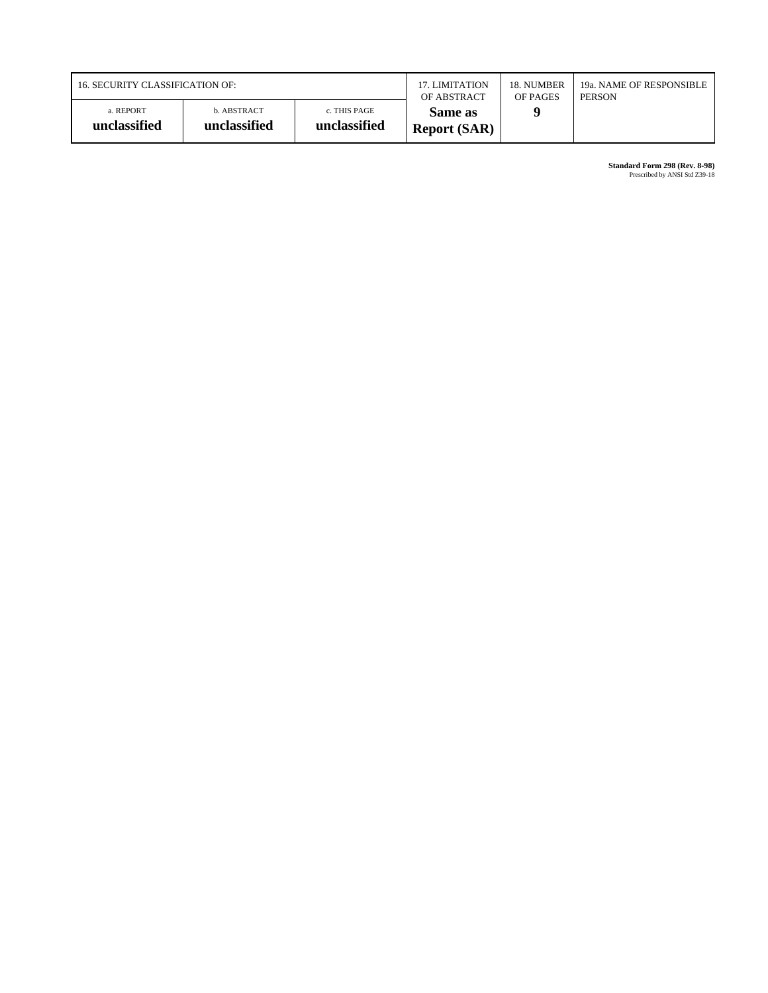| 16. SECURITY CLASSIFICATION OF: |              | 17. LIMITATION<br>OF ABSTRACT | 18. NUMBER<br>OF PAGES | 19a. NAME OF RESPONSIBLE<br><b>PERSON</b> |  |
|---------------------------------|--------------|-------------------------------|------------------------|-------------------------------------------|--|
| a. REPORT                       | b. ABSTRACT  | c. THIS PAGE                  | Same as                |                                           |  |
| unclassified                    | unclassified | unclassified                  | <b>Report (SAR)</b>    |                                           |  |

**Standard Form 298 (Rev. 8-98)**<br>Prescribed by ANSI Std Z39-18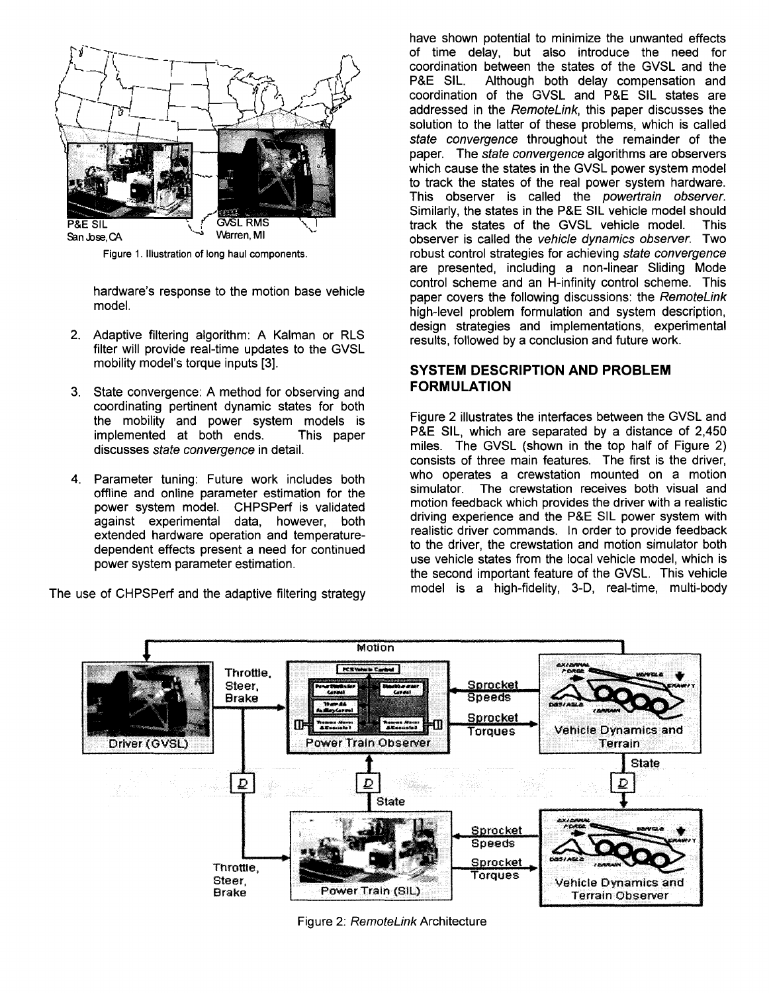

Figure 1. Illustration of long haul components.

hardware's response to the motion base vehicle model.

- 2. Adaptive filtering algorithm: A Kalman or RLS filter will provide real-time updates to the GVSL mobility model's torque inputs [3].
- 3. State convergence: A method for observing and coordinating pertinent dynamic states for both the mobility and power system models is<br>implemented at both ends. This paper implemented at both ends. discusses state convergence in detail.
- 4. Parameter tuning: Future work includes both offline and online parameter estimation for the power system model. CHPSPerf is validated against experimental data, however, both extended hardware operation and temperaturedependent effects present a need for continued power system parameter estimation.

The use of CHPSPerf and the adaptive filtering strategy

have shown potential to minimize the unwanted effects of time delay, but also introduce the need for coordination between the states of the GVSL and the P&E SIL. Although both delay compensation and Although both delay compensation and coordination of the GVSL and P&E SIL states are addressed in the RemoteLink, this paper discusses the solution to the latter of these problems, which is called state convergence throughout the remainder of the paper. The state convergence algorithms are observers which cause the states in the GVSL power system model to track the states of the real power system hardware. This observer is called the *powertrain observer*. Similarly, the states in the P&E SIL vehicle model should track the states of the GVSL vehicle model. This track the states of the GVSL vehicle model. observer is called the vehicle dynamics observer. Two robust control strategies for achieving state convergence are presented, including a non-linear Sliding Mode control scheme and an H-infinity control scheme. This paper covers the following discussions: the RemoteLink high-level problem formulation and system description, design strategies and implementations, experimental results, followed by a conclusion and future work.

#### **SYSTEM DESCRIPTION AND PROBLEM FORMULATION**

Figure 2 illustrates the interfaces between the GVSL and P&E SIL, which are separated by a distance of 2,450 miles. The GVSL (shown in the top half of Figure 2) consists of three main features. The first is the driver who operates a crewstation mounted on a motion simulator. The crewstation receives both visual and motion feedback which provides the driver with a realistic driving experience and the P&E SIL power system with realistic driver commands. In order to provide feedback to the driver, the crewstation and motion simulator both use vehicle states from the local vehicle model, which is the second important feature of the GVSL. This vehicle model is a high-fidelity, 3-D, real-time, multi-body



Figure 2: RemoteLink Architecture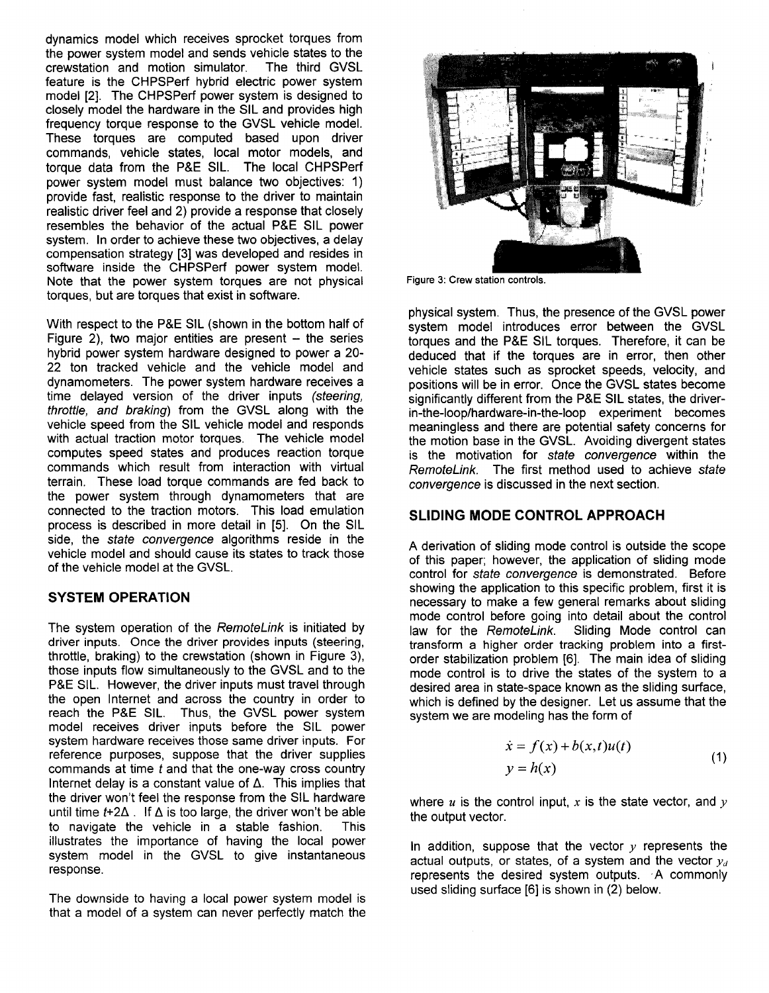dynamics model which receives sprocket torques from the power system model and sends vehicle states to the crewstation and motion simulator. The third GVSL feature is the CHPSPerf hybrid electric power system model [2]. The CHPSPerf power system is designed to closely model the hardware in the SIL and provides high frequency torque response to the GVSL vehicle model. These torques are computed based upon driver commands, vehicle states, local motor models, and torque data from the P&E SIL. The local CHPSPerf power system model must balance two objectives: 1) provide fast, realistic response to the driver to maintain realistic driver feel and 2) provide a response that closely resembles the behavior of the actual P&E SIL power system. In order to achieve these two objectives, a delay compensation strategy [3] was developed and resides in software inside the CHPSPerf power system model. Note that the power system torques are not physical torques, but are torques that exist in software.

With respect to the P&E SIL (shown in the bottom half of Figure 2), two major entities are present  $-$  the series hybrid power system hardware designed to power a 20- 22 ton tracked vehicle and the vehicle model and dynamometers. The power system hardware receives a time delayed version of the driver inputs (steering, throttle, and braking) from the GVSL along with the vehicle speed from the SIL vehicle model and responds with actual traction motor torques. The vehicle model computes speed states and produces reaction torque commands which result from interaction with virtual terrain. These load torque commands are fed back to the power system through dynamometers that are connected to the traction motors. This load emulation process is described in more detail in [5]. On the SIL side, the state convergence algorithms reside in the vehicle model and should cause its states to track those of the vehicle model at the GVSL.

#### **SYSTEM OPERATION**

The system operation of the RemoteLink is initiated by driver inputs. Once the driver provides inputs (steering, throttle, braking) to the crewstation (shown in Figure 3), those inputs flow simultaneously to the GVSL and to the P&E SIL. However, the driver inputs must travel through the open Internet and across the country in order to reach the P&E SIL. Thus, the GVSL power system model receives driver inputs before the SIL power system hardware receives those same driver inputs. For reference purposes, suppose that the driver supplies commands at time *t* and that the one-way cross country Internet delay is a constant value of  $\Delta$ . This implies that the driver won't feel the response from the SIL hardware until time  $t+2\Delta$ . If  $\Delta$  is too large, the driver won't be able to navigate the vehicle in a stable fashion. This illustrates the importance of having the local power system model in the GVSL to give instantaneous response.

The downside to having a local power system model is that a model of a system can never perfectly match the



Figure 3: Crew station controls.

physical system. Thus, the presence of the GVSL power system model introduces error between the GVSL torques and the P&E SIL torques. Therefore, it can be deduced that if the torques are in error, then other vehicle states such as sprocket speeds, velocity, and positions will be in error. Once the GVSL states become significantly different from the P&E SIL states, the driverin-the-loop/hardware-in-the-loop experiment becomes meaningless and there are potential safety concerns for the motion base in the GVSL. Avoiding divergent states is the motivation for state convergence within the RemoteLink. The first method used to achieve state convergence is discussed in the next section.

#### **SLIDING MODE CONTROL APPROACH**

A derivation of sliding mode control is outside the scope of this paper; however, the application of sliding mode control for state convergence is demonstrated. Before showing the application to this specific problem, first it is necessary to make a few general remarks about sliding mode control before going into detail about the control law for the RemoteLink. Sliding Mode control can transform a higher order tracking problem into a firstorder stabilization problem [6]. The main idea of sliding mode control is to drive the states of the system to a desired area in state-space known as the sliding surface, which is defined by the designer. Let us assume that the system we are modeling has the form of

$$
\dot{x} = f(x) + b(x,t)u(t)
$$
  
\n
$$
y = h(x)
$$
\n(1)

where  $u$  is the control input,  $x$  is the state vector, and  $y$ the output vector.

In addition, suppose that the vector  $y$  represents the actual outputs, or states, of a system and the vector  $y_d$ represents the desired system outputs. ·A commonly used sliding surface [6] is shown in (2) below.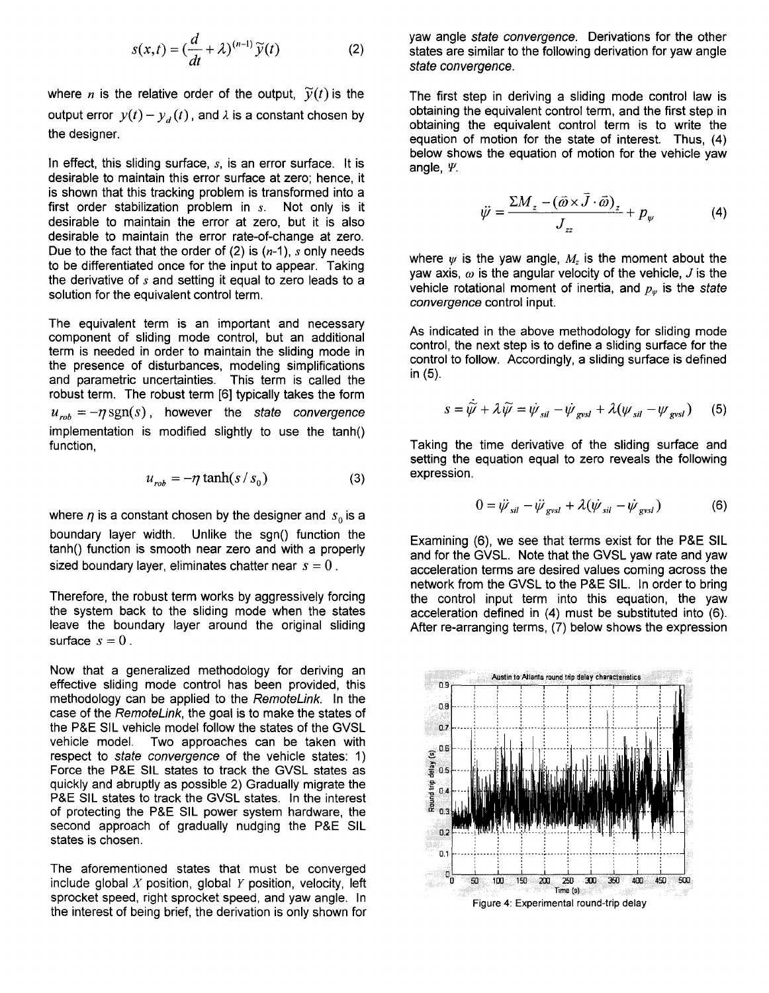$$
s(x,t) = \left(\frac{d}{dt} + \lambda\right)^{(n-1)}\widetilde{y}(t) \tag{2}
$$

where *n* is the relative order of the output,  $\widetilde{\gamma}(t)$  is the output error  $y(t)-y_d(t)$ , and  $\lambda$  is a constant chosen by the designer.

In effect, this sliding surface, *s,* is an error surface. It is desirable to maintain this error surface at zero; hence, it is shown that this tracking problem is transformed into a first order stabilization problem in *s.* Not only is it desirable to maintain the error at zero, but it is also desirable to maintain the error rate-of-change at zero. Due to the fact that the order of (2) is (n-1 ), *s* only needs to be differentiated once for the input to appear. Taking the derivative of *s* and setting it equal to zero leads to a solution for the equivalent control term.

The equivalent term is an important and necessary component of sliding mode control, but an additional term is needed in order to maintain the sliding mode in the presence of disturbances, modeling simplifications and parametric uncertainties. This term is called the robust term. The robust term [6] typically takes the form  $u_{\text{rob}} = -\eta \text{sgn}(s)$ , however the state convergence implementation is modified slightly to use the tanh() function,

$$
u_{\text{rob}} = -\eta \tanh(s / s_0) \tag{3}
$$

where  $\eta$  is a constant chosen by the designer and  $s_0$  is a boundary layer width. Unlike the sgn() function the tanh() function is smooth near zero and with a properly sized boundary layer, eliminates chatter near  $s = 0$ .

Therefore, the robust term works by aggressively forcing the system back to the sliding mode when the states leave the boundary layer around the original sliding surface  $s = 0$ .

Now that a generalized methodology for deriving an effective sliding mode control has been provided, this methodology can be applied to the RemoteLink. In the case of the RemoteLink, the goal is to make the states of the P&E SIL vehicle model follow the states of the GVSL vehicle model. Two approaches can be taken with respect to state convergence of the vehicle states: 1) Force the P&E SIL states to track the GVSL states as quickly and abruptly as possible 2) Gradually migrate the P&E SIL states to track the GVSL states. In the interest of protecting the P&E SIL power system hardware, the second approach of gradually nudging the P&E SIL states is chosen.

The aforementioned states that must be converged include global *X* position, global *Y* position, velocity, left sprocket speed, right sprocket speed, and yaw angle. In the interest of being brief, the derivation is only shown for yaw angle state convergence. Derivations for the other states are similar to the following derivation for yaw angle state convergence.

The first step in deriving a sliding mode control law is obtaining the equivalent control term, and the first step in obtaining the equivalent control term is to write the equation of motion for the state of interest. Thus, (4) below shows the equation of motion for the vehicle yaw angle,  $\mathcal{Y}$ .

$$
\ddot{\psi} = \frac{\Sigma M_z - (\vec{\omega} \times \vec{J} \cdot \vec{\omega})_z}{J_{zz}} + p_{\psi} \tag{4}
$$

where  $\psi$  is the yaw angle,  $M_z$  is the moment about the yaw axis,  $\omega$  is the angular velocity of the vehicle, J is the vehicle rotational moment of inertia, and  $p_w$  is the state convergence control input.

As indicated in the above methodology for sliding mode control, the next step is to define a sliding surface for the control to follow. Accordingly, a sliding surface is defined in (5).

$$
s = \tilde{\psi} + \lambda \tilde{\psi} = \dot{\psi}_{sil} - \dot{\psi}_{gvsl} + \lambda (\psi_{sil} - \psi_{gvsl}) \qquad (5)
$$

Taking the time derivative of the sliding surface and setting the equation equal to zero reveals the following expression.

$$
0 = \ddot{\psi}_{sil} - \ddot{\psi}_{\text{gvsl}} + \lambda (\dot{\psi}_{sil} - \dot{\psi}_{\text{gvsl}})
$$
 (6)

Examining (6), we see that terms exist for the P&E SIL and for the GVSL. Note that the GVSL yaw rate and yaw acceleration terms are desired values coming across the network from the GVSL to the P&E SIL. In order to bring the control input term into this equation, the yaw acceleration defined in (4) must be substituted into (6). After re-arranging terms, (7) below shows the expression

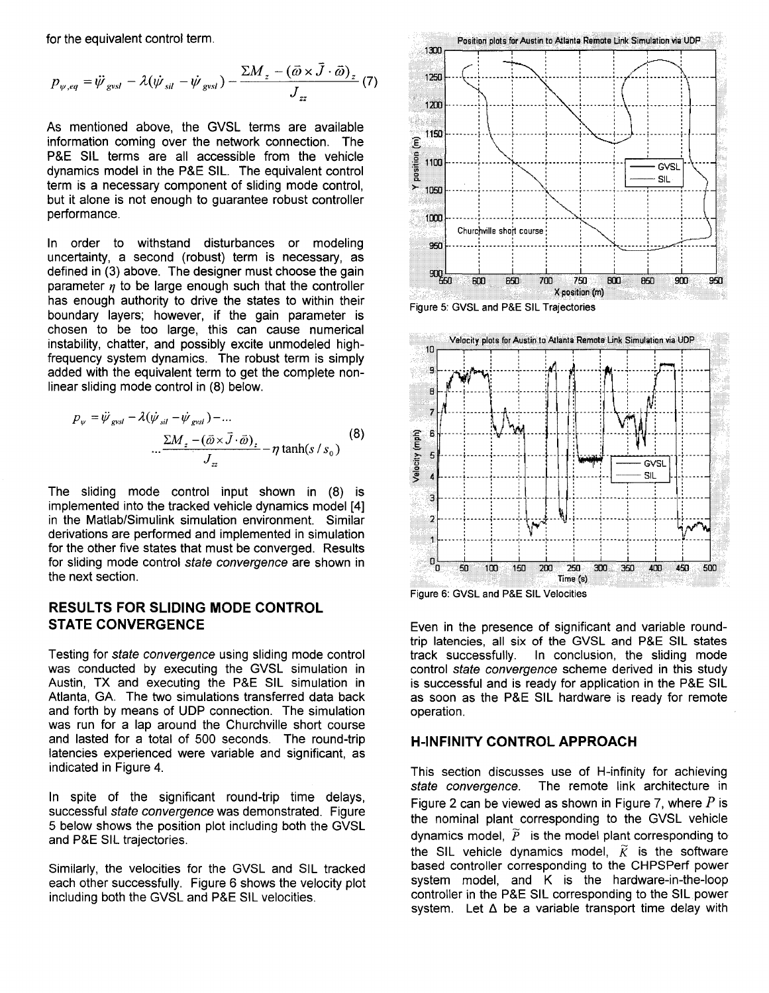for the equivalent control term.

$$
p_{\psi,eq} = \ddot{\psi}_{gvsl} - \lambda(\dot{\psi}_{sil} - \dot{\psi}_{gvsl}) - \frac{\Sigma M_z - (\vec{\omega} \times \vec{J} \cdot \vec{\omega})_z}{J_{zz}} (7)
$$

As mentioned above, the GVSL terms are available information coming over the network connection. The P&E SIL terms are all accessible from the vehicle dynamics model in the P&E SIL. The equivalent control term is a necessary component of sliding mode control, but it alone is not enough to guarantee robust controller performance.

In order to withstand disturbances or modeling uncertainty, a second (robust) term is necessary, as defined in (3) above. The designer must choose the gain parameter  $\eta$  to be large enough such that the controller has enough authority to drive the states to within their boundary layers; however, if the gain parameter is chosen to be too large, this can cause numerical instability, chatter, and possibly excite unmodeled highfrequency system dynamics. The robust term is simply added with the equivalent term to get the complete nonlinear sliding mode control in (8) below.

$$
p_{\psi} = \ddot{\psi}_{\text{gvsl}} - \lambda (\dot{\psi}_{\text{sil}} - \dot{\psi}_{\text{gvsl}}) - \dots
$$

$$
\dots \frac{\Sigma M_z - (\vec{\omega} \times \vec{J} \cdot \vec{\omega})_z}{J_z} - \eta \tanh(s / s_0)
$$
(8)

The sliding mode control input shown in (8) is implemented into the tracked vehicle dynamics model [4] in the Matlab/Simulink simulation environment. Similar derivations are performed and implemented in simulation for the other five states that must be converged. Results for sliding mode control state convergence are shown in the next section.

#### **RESULTS FOR SLIDING MODE CONTROL STATE CONVERGENCE**

Testing for state convergence using sliding mode control was conducted by executing the GVSL simulation in Austin, TX and executing the P&E SIL simulation in Atlanta, GA. The two simulations transferred data back and forth by means of UDP connection. The simulation was run for a lap around the Churchville short course and lasted for a total of 500 seconds. The round-trip latencies experienced were variable and significant, as indicated in Figure 4.

In spite of the significant round-trip time delays, successful state convergence was demonstrated. Figure 5 below shows the position plot including both the GVSL and P&E SIL trajectories.

Similarly, the velocities for the GVSL and SIL tracked each other successfully. Figure 6 shows the velocity plot including both the GVSL and P&E SIL velocities.



Figure 5: GVSL and P&E SIL Trajectories



Figure 6: GVSL and P&E SIL Velocities

Even in the presence of significant and variable roundtrip latencies, all six of the GVSL and P&E SIL states track successfully. In conclusion, the sliding mode control state convergence scheme derived in this study is successful and is ready for application in the P&E SIL as soon as the P&E SIL hardware is ready for remote operation.

## **H-INFINITY CONTROL APPROACH**

This section discusses use of H-infinity for achieving state convergence. The remote link architecture in Figure 2 can be viewed as shown in Figure 7, where  $P$  is the nominal plant corresponding to the GVSL vehicle dynamics model,  $\widetilde{P}$  is the model plant corresponding to the SIL vehicle dynamics model,  $\widetilde{K}$  is the software based controller corresponding to the CHPSPerf power system model, and K is the hardware-in-the-loop controller in the P&E SIL corresponding to the SIL power system. Let  $\Delta$  be a variable transport time delay with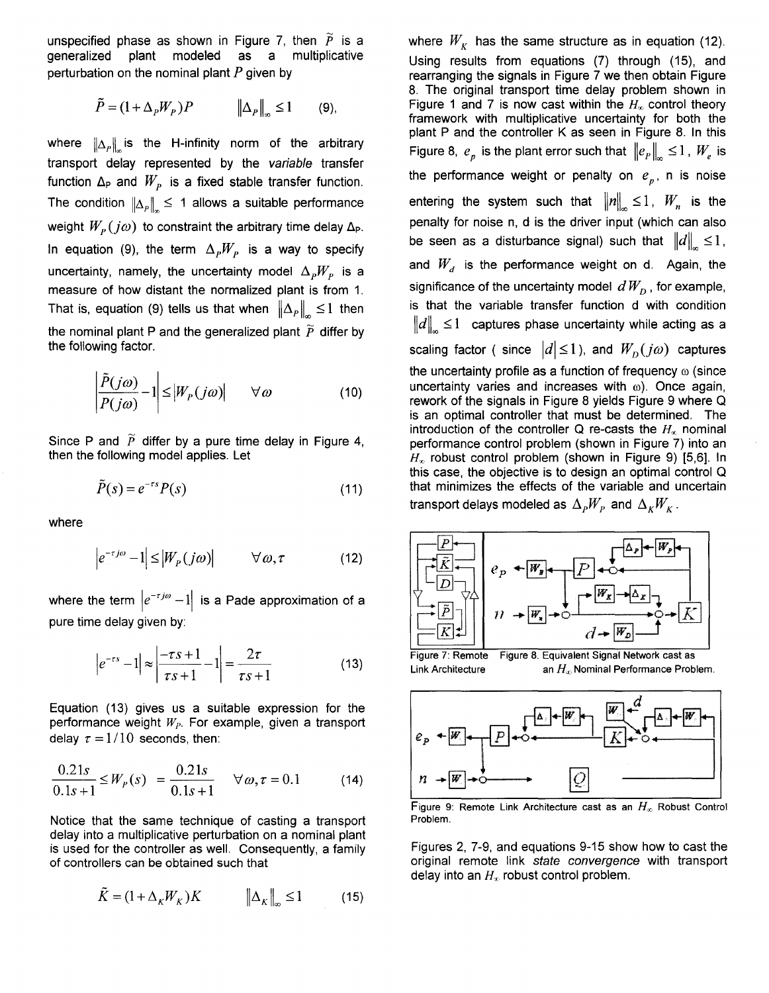unspecified phase as shown in Figure 7, then  $\tilde{P}$  is a generalized plant modeled as a multiplicative as a multiplicative perturbation on the nominal plant *P* given by

$$
\tilde{P} = (1 + \Delta_p W_p) P \qquad \|\Delta_p\|_{\infty} \le 1 \qquad (9),
$$

where  $\|\Delta_p\|$  is the H-infinity norm of the arbitrary transport delay represented by the variable transfer function  $\Delta_P$  and  $W_p$  is a fixed stable transfer function. The condition  $\|\Delta_{P}\|_{\infty} \leq 1$  allows a suitable performance weight  $W_p(j\omega)$  to constraint the arbitrary time delay  $\Delta_{P}$ . In equation (9), the term  $\Delta_P W_P$  is a way to specify uncertainty, namely, the uncertainty model  $\Delta_p W_p$  is a measure of how distant the normalized plant is from 1. That is, equation (9) tells us that when  $\|\Delta_P\|_{\infty} \leq 1$  then the nominal plant P and the generalized plant  $\tilde{P}$  differ by the following factor.

$$
\left| \frac{\tilde{P}(j\omega)}{P(j\omega)} - 1 \right| \leq |W_P(j\omega)| \qquad \forall \omega \tag{10}
$$

Since P and  $\tilde{P}$  differ by a pure time delay in Figure 4, then the following model applies. Let

$$
\tilde{P}(s) = e^{-rs} P(s) \tag{11}
$$

where

$$
\left|e^{-\tau j\omega}-1\right|\leq\left|W_{P}(j\omega)\right|\qquad\forall\,\omega,\tau\qquad\qquad(12)
$$

where the term  $|e^{-\tau j\omega} - 1|$  is a Pade approximation of a pure time delay given by:

$$
\left|e^{-\tau s}-1\right| \approx \left|\frac{-\tau s+1}{\tau s+1}-1\right| = \frac{2\tau}{\tau s+1} \tag{13}
$$

Equation (13) gives us a suitable expression for the performance weight  $W_P$ . For example, given a transport delay  $\tau = 1/10$  seconds, then:

$$
\frac{0.21s}{0.1s+1} \le W_p(s) = \frac{0.21s}{0.1s+1} \quad \forall \omega, \tau = 0.1
$$
 (14)

Notice that the same technique of casting a transport delay into a multiplicative perturbation on a nominal plant is used for the controller as well. Consequently, a family of controllers can be obtained such that

$$
\tilde{K} = (1 + \Delta_K W_K)K \qquad \|\Delta_K\|_{\infty} \le 1 \qquad (15)
$$

where  $W_K$  has the same structure as in equation (12). Using results from equations (7) through (15}, and rearranging the signals in Figure 7 we then obtain Figure 8. The original transport time delay problem shown in Figure 1 and 7 is now cast within the  $H_{\infty}$  control theory framework with multiplicative uncertainty for both the plant P and the controller K as seen in Figure 8. In this Figure 8,  $e_p$  is the plant error such that  $||e_p||_{\infty} \le 1$ ,  $W_e$  is the performance weight or penalty on  $e_p$ , n is noise entering the system such that  $\|n\|\leq 1$ ,  $W_n$  is the penalty for noise n, d is the driver input (which can also be seen as a disturbance signal) such that  $||d||_{\infty} \leq 1$ , and  $W_d$  is the performance weight on d. Again, the significance of the uncertainty model  $dW_D$ , for example, is that the variable transfer function d with condition  $\|d\|_{\infty} \leq 1$  captures phase uncertainty while acting as a scaling factor ( since  $|d| \leq 1$ ), and  $W_D(j\omega)$  captures the uncertainty profile as a function of frequency  $\omega$  (since uncertainty varies and increases with  $\omega$ ). Once again, rework of the signals in Figure 8 yields Figure 9 where Q is an optimal controller that must be determined. The introduction of the controller Q re-casts the  $H_{\alpha}$  nominal performance control problem (shown in Figure 7) into an  $H<sub>x</sub>$  robust control problem (shown in Figure 9) [5,6]. In this case, the objective is to design an optimal control Q that minimizes the effects of the variable and uncertain transport delays modeled as  $\Delta_p W_p$  and  $\Delta_k W_k$ .



Figure 7: Remote Figure 8. Equivalent Signal Network cast as Link Architecture an  $H_{\infty}$  Nominal Performance Problem.



Figure 9: Remote Link Architecture cast as an  $H_{\infty}$  Robust Control Problem.

Figures 2, 7-9, and equations 9-15 show how to cast the original remote link state convergence with transport delay into an  $H_x$  robust control problem.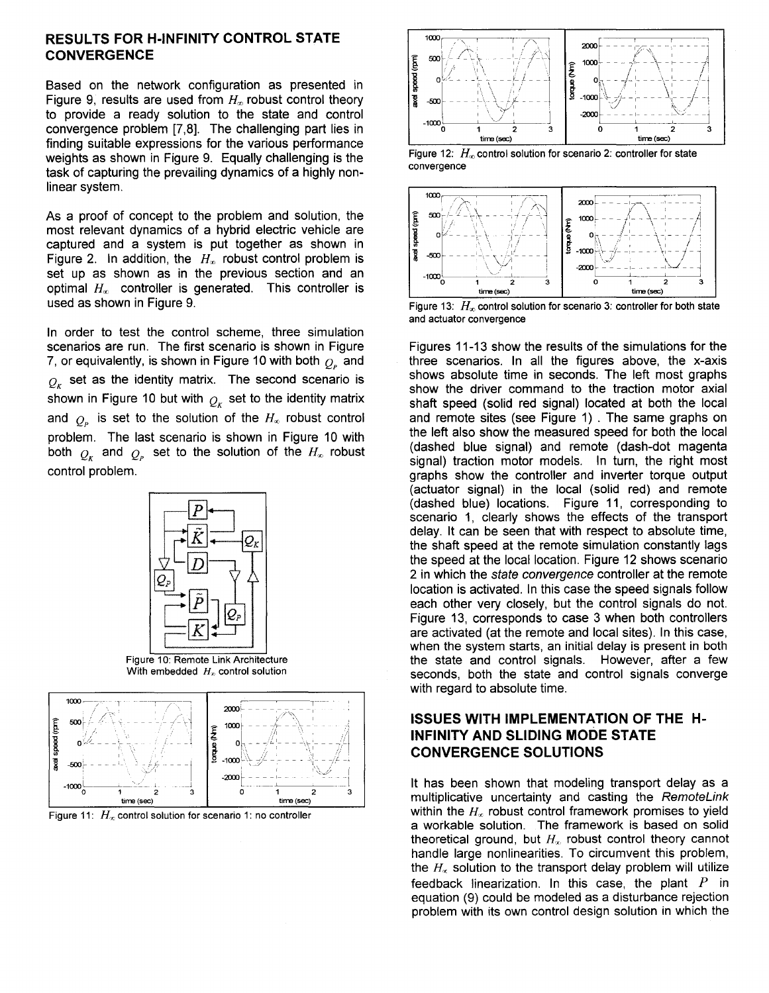#### **RESULTS FOR H-INFINITY CONTROL STATE CONVERGENCE**

Based on the network configuration as presented in Figure 9, results are used from  $H_{\infty}$  robust control theory to provide a ready solution to the state and control convergence problem [7,8]. The challenging part lies in finding suitable expressions for the various performance weights as shown in Figure 9. Equally challenging is the task of capturing the prevailing dynamics of a highly nonlinear system.

As a proof of concept to the problem and solution, the most relevant dynamics of a hybrid electric vehicle are captured and a system is put together as shown in Figure 2. In addition, the  $H<sub>x</sub>$  robust control problem is set up as shown as in the previous section and an optimal  $H_{\infty}$  controller is generated. This controller is used as shown in Figure 9.

In order to test the control scheme, three simulation scenarios are run. The first scenario is shown in Figure 7, or equivalently, is shown in Figure 10 with both  $\rho_{p}$  and  $Q_{K}$  set as the identity matrix. The second scenario is shown in Figure 10 but with  $Q_k$  set to the identity matrix and  $Q_p$  is set to the solution of the  $H_\infty$  robust control problem. The last scenario is shown in Figure 10 with both  $Q_k$  and  $Q_p$  set to the solution of the  $H_\infty$  robust control problem.



Figure 10: Remote Link Architecture With embedded  $H<sub>x</sub>$  control solution



Figure 11:  $H_{\infty}$  control solution for scenario 1: no controller



Figure 12:  $H_{\infty}$  control solution for scenario 2: controller for state convergence



Figure 13:  $H_{\infty}$  control solution for scenario 3: controller for both state and actuator convergence

Figures 11-13 show the results of the simulations for the three scenarios. In all the figures above, the x-axis shows absolute time in seconds. The left most graphs show the driver command to the traction motor axial shaft speed (solid red signal) located at both the local and remote sites (see Figure 1) . The same graphs on the left also show the measured speed for both the local (dashed blue signal) and remote (dash-dot magenta signal) traction motor models. In turn, the right most graphs show the controller and inverter torque output (actuator signal) in the local (solid red) and remote (dashed blue) locations. Figure 11, corresponding to scenario 1, clearly shows the effects of the transport delay. It can be seen that with respect to absolute time, the shaft speed at the remote simulation constantly lags the speed at the local location. Figure 12 shows scenario 2 in which the state convergence controller at the remote location is activated. In this case the speed signals follow each other very closely, but the control signals do not. Figure 13, corresponds to case 3 when both controllers are activated (at the remote and local sites). In this case, when the system starts, an initial delay is present in both the state and control signals. However, after a few seconds, both the state and control signals converge with regard to absolute time.

#### **ISSUES WITH IMPLEMENTATION OF THE H-INFINITY AND SLIDING MODE STATE CONVERGENCE SOLUTIONS**

It has been shown that modeling transport delay as a multiplicative uncertainty and casting the RemoteLink within the  $H_{\infty}$  robust control framework promises to yield a workable solution. The framework is based on solid theoretical ground, but  $H_{\infty}$  robust control theory cannot handle large nonlinearities. To circumvent this problem, the  $H_{\alpha}$  solution to the transport delay problem will utilize feedback linearization. In this case, the plant  $P$  in equation (9) could be modeled as a disturbance rejection problem with its own control design solution in which the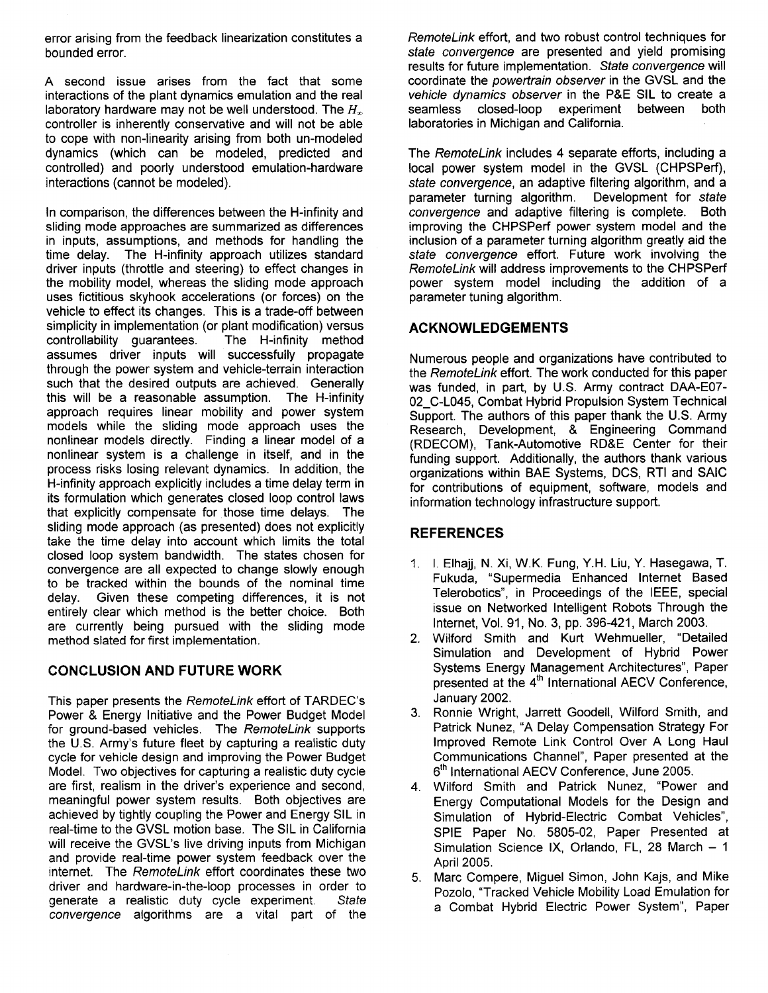error arising from the feedback linearization constitutes a bounded error.

A second issue arises from the fact that some interactions of the plant dynamics emulation and the real laboratory hardware may not be well understood. The  $H_{\infty}$ controller is inherently conservative and will not be able to cope with non-linearity arising from both un-modeled dynamics (which can be modeled, predicted and controlled) and poorly understood emulation-hardware interactions (cannot be modeled).

In comparison, the differences between the H-infinity and sliding mode approaches are summarized as differences in inputs, assumptions, and methods for handling the time delay. The H-infinity approach utilizes standard driver inputs (throttle and steering) to effect changes in the mobility model, whereas the sliding mode approach uses fictitious skyhook accelerations (or forces) on the vehicle to effect its changes. This is a trade-off between simplicity in implementation (or plant modification) versus controllability guarantees. The H-infinity method assumes driver inputs will successfully propagate through the power system and vehicle-terrain interaction such that the desired outputs are achieved. Generally this will be a reasonable assumption. The H-infinity approach requires linear mobility and power system models while the sliding mode approach uses the nonlinear models directly. Finding a linear model of a nonlinear system is a challenge in itself, and in the process risks losing relevant dynamics. In addition, the H-infinity approach explicitly includes a time delay term in its formulation which generates closed loop control laws that explicitly compensate for those time delays. The sliding mode approach (as presented) does not explicitly take the time delay into account which limits the total closed loop system bandwidth. The states chosen for convergence are all expected to change slowly enough to be tracked within the bounds of the nominal time delay. Given these competing differences, it is not entirely clear which method is the better choice. Both are currently being pursued with the sliding mode method slated for first implementation.

#### **CONCLUSION AND FUTURE WORK**

This paper presents the RemoteLink effort of TARDEC's Power & Energy Initiative and the Power Budget Model for ground-based vehicles. The RemoteLink supports the U.S. Army's future fleet by capturing a realistic duty cycle for vehicle design and improving the Power Budget Model. Two objectives for capturing a realistic duty cycle are first, realism in the driver's experience and second, meaningful power system results. Both objectives are achieved by tightly coupling the Power and Energy SIL in real-time to the GVSL motion base. The SIL in California will receive the GVSL's live driving inputs from Michigan and provide real-time power system feedback over the internet. The RemoteLink effort coordinates these two driver and hardware-in-the-loop processes in order to generate a realistic duty cycle experiment. State convergence algorithms are a vital part of the

RemoteLink effort, and two robust control techniques for state convergence are presented and yield promising results for future implementation. State convergence will coordinate the powertrain observer in the GVSL and the vehicle dynamics observer in the P&E SIL to create a seamless closed-loop experiment between both laboratories in Michigan and California.

The RemoteLink includes 4 separate efforts, including a local power system model in the GVSL (CHPSPerf), state convergence, an adaptive filtering algorithm, and a parameter turning algorithm. Development for state convergence and adaptive filtering is complete. Both improving the CHPSPerf power system model and the inclusion of a parameter turning algorithm greatly aid the state convergence effort. Future work involving the RemoteLink will address improvements to the CHPSPerf power system model including the addition of a parameter tuning algorithm.

#### **ACKNOWLEDGEMENTS**

Numerous people and organizations have contributed to the RemoteLink effort. The work conducted for this paper was funded, in part, by U.S. Army contract DAA-E07- 02 C-L045, Combat Hybrid Propulsion System Technical Support. The authors of this paper thank the U.S. Army Research, Development, & Engineering Command (RDECOM), Tank-Automotive RD&E Center for their funding support. Additionally, the authors thank various organizations within BAE Systems, DCS, RTI and SAIC for contributions of equipment, software, models and information technology infrastructure support.

## **REFERENCES**

- 1. I. Elhajj, N. Xi, W.K. Fung, Y.H. Liu, Y. Hasegawa, T. Fukuda, "Supermedia Enhanced Internet Based Telerobotics", in Proceedings of the IEEE, special issue on Networked Intelligent Robots Through the Internet, Vol. 91, No. 3, pp. 396-421, March 2003.
- 2. Wilford Smith and Kurt Wehmueller, "Detailed Simulation and Development of Hybrid Power Systems Energy Management Architectures", Paper presented at the 4<sup>th</sup> International AECV Conference, January 2002.
- 3. Ronnie Wright, Jarrett Goodell, Wilford Smith, and Patrick Nunez, "A Delay Compensation Strategy For Improved Remote Link Control Over A Long Haul Communications Channel", Paper presented at the 6<sup>th</sup> International AECV Conference, June 2005.
- 4. Wilford Smith and Patrick Nunez, "Power and Energy Computational Models for the Design and Simulation of Hybrid-Electric Combat Vehicles", SPIE Paper No. 5805-02, Paper Presented at Simulation Science IX, Orlando, FL, 28 March  $-1$ April 2005.
- 5. Marc Compere, Miguel Simon, John Kajs, and Mike Pozolo, "Tracked Vehicle Mobility Load Emulation for a Combat Hybrid Electric Power System", Paper